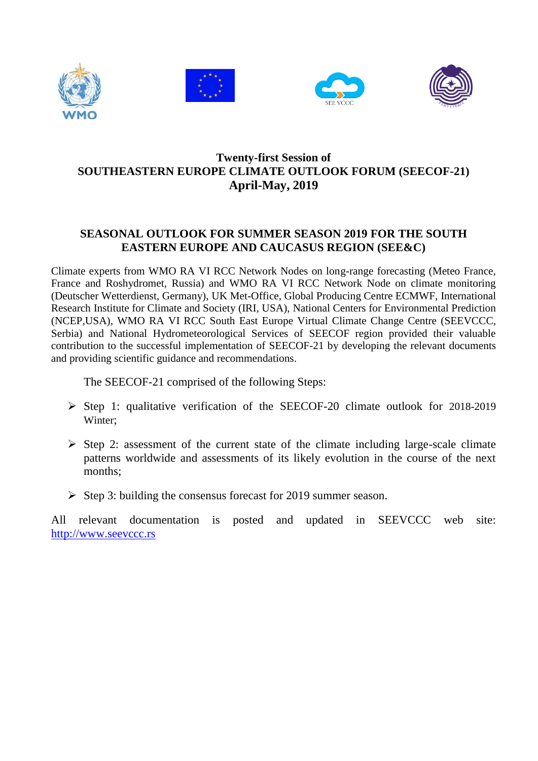







# **Twenty-first Session of SOUTHEASTERN EUROPE CLIMATE OUTLOOK FORUM (SEECOF-21) April-May, 2019**

# **SEASONAL OUTLOOK FOR SUMMER SEASON 2019 FOR THE SOUTH EASTERN EUROPE AND CAUCASUS REGION (SEE&C)**

Climate experts from WMO RA VI RCC Network Nodes on long-range forecasting (Meteo France, France and Roshydromet, Russia) and WMO RA VI RCC Network Node on climate monitoring (Deutscher Wetterdienst, Germany), UK Met-Office, Global Producing Centre ECMWF, International Research Institute for Climate and Society (IRI, USA), National Centers for Environmental Prediction (NCEP,USA), WMO RA VI RCC South East Europe Virtual Climate Change Centre (SEEVCCC, Serbia) and National Hydrometeorological Services of SEECOF region provided their valuable contribution to the successful implementation of SEECOF-21 by developing the relevant documents and providing scientific guidance and recommendations.

The SEECOF-21 comprised of the following Steps:

- $\triangleright$  Step 1: qualitative verification of the SEECOF-20 climate outlook for 2018-2019 Winter;
- $\triangleright$  Step 2: assessment of the current state of the climate including large-scale climate patterns worldwide and assessments of its likely evolution in the course of the next months;
- $\triangleright$  Step 3: building the consensus forecast for 2019 summer season.

All relevant documentation is posted and updated in SEEVCCC web site: [http://www.seevccc.rs](http://www.seevccc.rs/)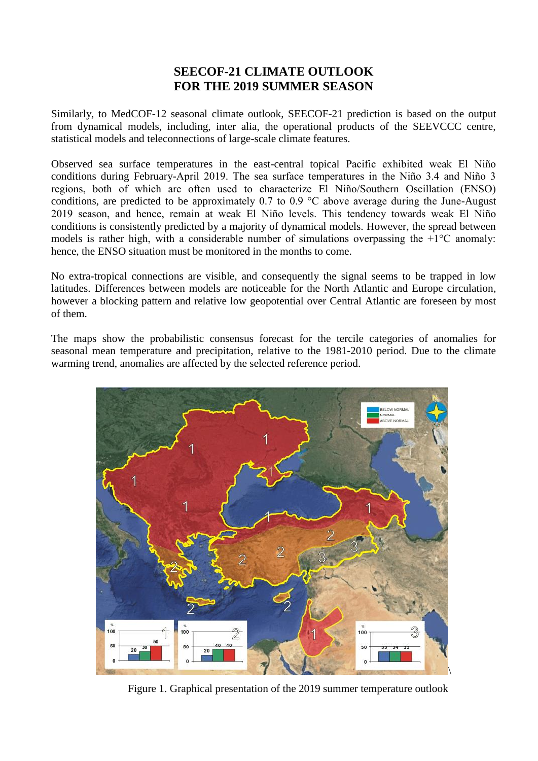## **SEECOF-21 CLIMATE OUTLOOK FOR THE 2019 SUMMER SEASON**

Similarly, to MedCOF-12 seasonal climate outlook, SEECOF-21 prediction is based on the output from dynamical models, including, inter alia, the operational products of the SEEVCCC centre, statistical models and teleconnections of large-scale climate features.

Observed sea surface temperatures in the east-central topical Pacific exhibited weak El Niño conditions during February-April 2019. The sea surface temperatures in the Niño 3.4 and Niño 3 regions, both of which are often used to characterize El Niño/Southern Oscillation (ENSO) conditions, are predicted to be approximately 0.7 to 0.9 °C above average during the June-August 2019 season, and hence, remain at weak El Niño levels. This tendency towards weak El Niño conditions is consistently predicted by a majority of dynamical models. However, the spread between models is rather high, with a considerable number of simulations overpassing the  $+1^{\circ}C$  anomaly: hence, the ENSO situation must be monitored in the months to come.

No extra-tropical connections are visible, and consequently the signal seems to be trapped in low latitudes. Differences between models are noticeable for the North Atlantic and Europe circulation, however a blocking pattern and relative low geopotential over Central Atlantic are foreseen by most of them.

The maps show the probabilistic consensus forecast for the tercile categories of anomalies for seasonal mean temperature and precipitation, relative to the 1981-2010 period. Due to the climate warming trend, anomalies are affected by the selected reference period.



Figure 1. Graphical presentation of the 2019 summer temperature outlook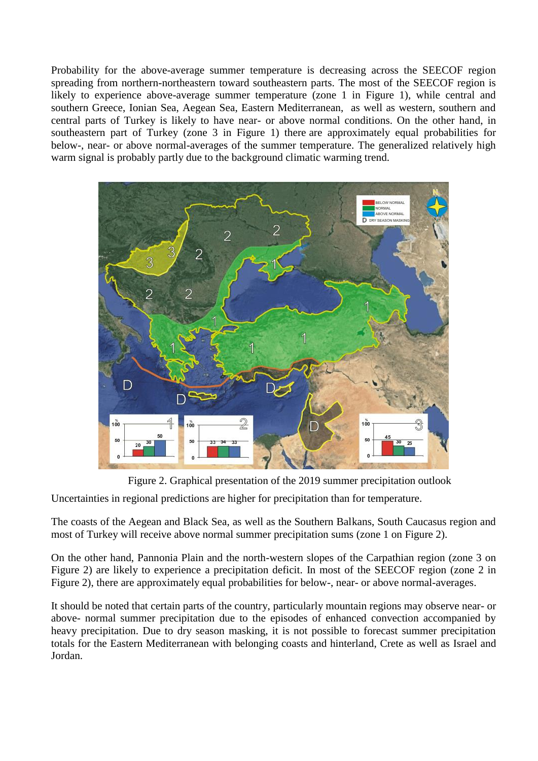Probability for the above-average summer temperature is decreasing across the SEECOF region spreading from northern-northeastern toward southeastern parts. The most of the SEECOF region is likely to experience above-average summer temperature (zone 1 in Figure 1), while central and southern Greece, Ionian Sea, Aegean Sea, Eastern Mediterranean, as well as western, southern and central parts of Turkey is likely to have near- or above normal conditions. On the other hand, in southeastern part of Turkey (zone 3 in Figure 1) there are approximately equal probabilities for below-, near- or above normal-averages of the summer temperature. The generalized relatively high warm signal is probably partly due to the background climatic warming trend.



Figure 2. Graphical presentation of the 2019 summer precipitation outlook

Uncertainties in regional predictions are higher for precipitation than for temperature.

The coasts of the Aegean and Black Sea, as well as the Southern Balkans, South Caucasus region and most of Turkey will receive above normal summer precipitation sums (zone 1 on Figure 2).

On the other hand, Pannonia Plain and the north-western slopes of the Carpathian region (zone 3 on Figure 2) are likely to experience a precipitation deficit. In most of the SEECOF region (zone 2 in Figure 2), there are approximately equal probabilities for below-, near- or above normal-averages.

It should be noted that certain parts of the country, particularly mountain regions may observe near- or above- normal summer precipitation due to the episodes of enhanced convection accompanied by heavy precipitation. Due to dry season masking, it is not possible to forecast summer precipitation totals for the Eastern Mediterranean with belonging coasts and hinterland, Crete as well as Israel and Jordan.